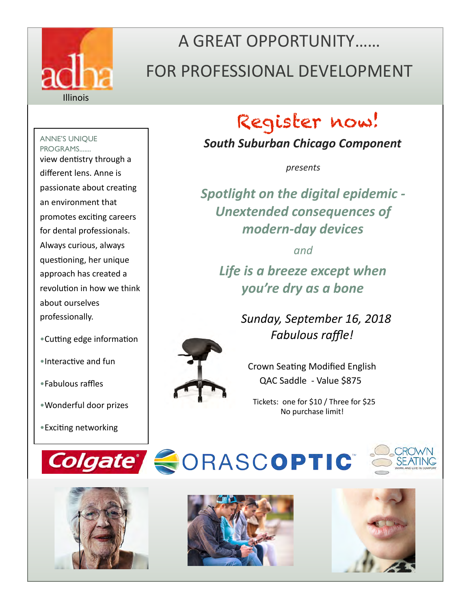

# A GREAT OPPORTUNITY…… FOR PROFESSIONAL DEVELOPMENT

ANNE'S UNIQUE PROGRAMS....... view dentistry through a different lens. Anne is passionate about creating an environment that promotes exciting careers for dental professionals. Always curious, always questioning, her unique approach has created a revolution in how we think about ourselves professionally.

- •Cutting edge information
- •Interactive and fun
- •Fabulous raffles
- •Wonderful door prizes
- •Exciting networking

# Register now!

*South Suburban Chicago Component* 

*presents* 

*Spotlight on the digital epidemic - Unextended consequences of modern-day devices* 

*and*

*Life is a breeze except when you're dry as a bone*

> *Sunday, September 16, 2018 Fabulous raffle!*



Crown Seating Modified English QAC Saddle - Value \$875

 Tickets: one for \$10 / Three for \$25 No purchase limit!









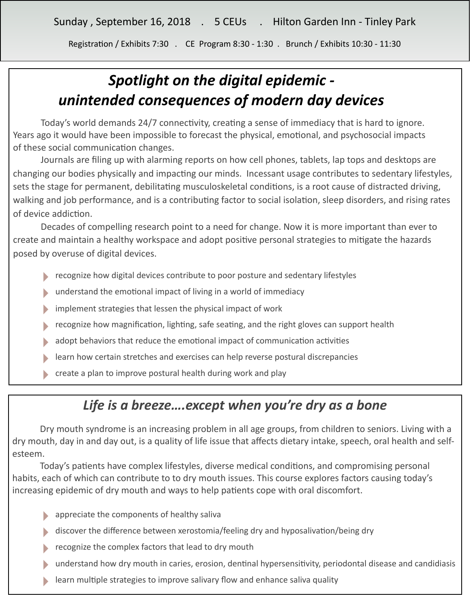Registration / Exhibits 7:30 . CE Program 8:30 - 1:30 . Brunch / Exhibits 10:30 - 11:30

## *Spotlight on the digital epidemic unintended consequences of modern day devices*

Today's world demands 24/7 connectivity, creating a sense of immediacy that is hard to ignore. Years ago it would have been impossible to forecast the physical, emotional, and psychosocial impacts of these social communication changes.

Journals are filing up with alarming reports on how cell phones, tablets, lap tops and desktops are changing our bodies physically and impacting our minds. Incessant usage contributes to sedentary lifestyles, sets the stage for permanent, debilitating musculoskeletal conditions, is a root cause of distracted driving, walking and job performance, and is a contributing factor to social isolation, sleep disorders, and rising rates of device addiction.

Decades of compelling research point to a need for change. Now it is more important than ever to create and maintain a healthy workspace and adopt positive personal strategies to mitigate the hazards posed by overuse of digital devices.

- **EXECOGNUM** recognize how digital devices contribute to poor posture and sedentary lifestyles
- understand the emotional impact of living in a world of immediacy
- implement strategies that lessen the physical impact of work
- recognize how magnification, lighting, safe seating, and the right gloves can support health
- adopt behaviors that reduce the emotional impact of communication activities
- ‣ learn how certain stretches and exercises can help reverse postural discrepancies
- ‣ create a plan to improve postural health during work and play

#### *Life is a breeze….except when you're dry as a bone*

 Dry mouth syndrome is an increasing problem in all age groups, from children to seniors. Living with a dry mouth, day in and day out, is a quality of life issue that affects dietary intake, speech, oral health and selfesteem.

Today's patients have complex lifestyles, diverse medical conditions, and compromising personal habits, each of which can contribute to to dry mouth issues. This course explores factors causing today's increasing epidemic of dry mouth and ways to help patients cope with oral discomfort.

- ‣ appreciate the components of healthy saliva
- discover the difference between xerostomia/feeling dry and hyposalivation/being dry
- recognize the complex factors that lead to dry mouth
- understand how dry mouth in caries, erosion, dentinal hypersensitivity, periodontal disease and candidiasis
- learn multiple strategies to improve salivary flow and enhance saliva quality